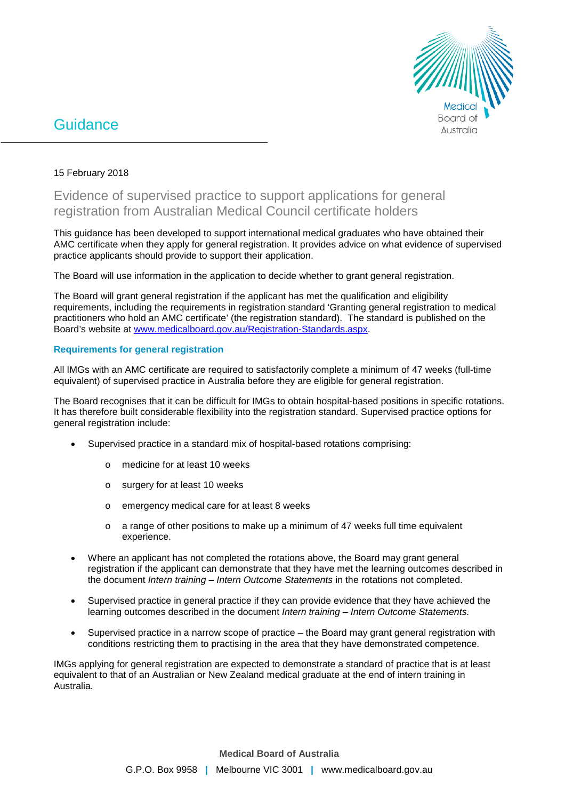

# **Guidance**

# 15 February 2018

# Evidence of supervised practice to support applications for general registration from Australian Medical Council certificate holders

This guidance has been developed to support international medical graduates who have obtained their AMC certificate when they apply for general registration. It provides advice on what evidence of supervised practice applicants should provide to support their application.

The Board will use information in the application to decide whether to grant general registration.

The Board will grant general registration if the applicant has met the qualification and eligibility requirements, including the requirements in registration standard 'Granting general registration to medical practitioners who hold an AMC certificate' (the registration standard). The standard is published on the Board's website at [www.medicalboard.gov.au/Registration-Standards.aspx.](http://www.medicalboard.gov.au/Registration-Standards.aspx) 

## **Requirements for general registration**

All IMGs with an AMC certificate are required to satisfactorily complete a minimum of 47 weeks (full-time equivalent) of supervised practice in Australia before they are eligible for general registration.

The Board recognises that it can be difficult for IMGs to obtain hospital-based positions in specific rotations. It has therefore built considerable flexibility into the registration standard. Supervised practice options for general registration include:

- Supervised practice in a standard mix of hospital-based rotations comprising:
	- o medicine for at least 10 weeks
	- o surgery for at least 10 weeks
	- o emergency medical care for at least 8 weeks
	- $\circ$  a range of other positions to make up a minimum of 47 weeks full time equivalent experience.
- Where an applicant has not completed the rotations above, the Board may grant general registration if the applicant can demonstrate that they have met the learning outcomes described in the document *Intern training – Intern Outcome Statements* in the rotations not completed.
- Supervised practice in general practice if they can provide evidence that they have achieved the learning outcomes described in the document *Intern training – Intern Outcome Statements.*
- Supervised practice in a narrow scope of practice the Board may grant general registration with conditions restricting them to practising in the area that they have demonstrated competence.

IMGs applying for general registration are expected to demonstrate a standard of practice that is at least equivalent to that of an Australian or New Zealand medical graduate at the end of intern training in Australia.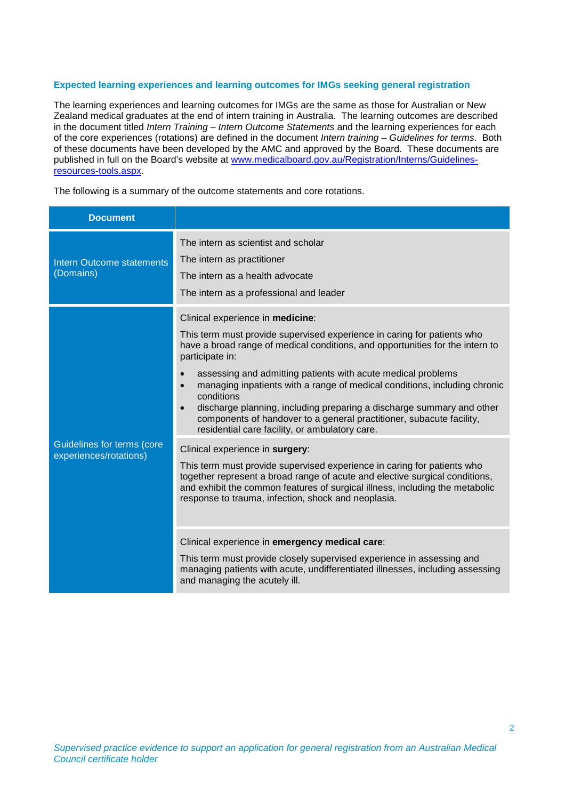### **Expected learning experiences and learning outcomes for IMGs seeking general registration**

The learning experiences and learning outcomes for IMGs are the same as those for Australian or New Zealand medical graduates at the end of intern training in Australia. The learning outcomes are described in the document titled *Intern Training – Intern Outcome Statements* and the learning experiences for each of the core experiences (rotations) are defined in the document *Intern training – Guidelines for terms*. Both of these documents have been developed by the AMC and approved by the Board. These documents are published in full on the Board's website at [www.medicalboard.gov.au/Registration/Interns/Guidelines](http://www.medicalboard.gov.au/Registration/Interns/Guidelines-resources-tools.aspx)[resources-tools.aspx.](http://www.medicalboard.gov.au/Registration/Interns/Guidelines-resources-tools.aspx)

The following is a summary of the outcome statements and core rotations.

| <b>Document</b>                                      |                                                                                                                                                                                                                                                                                                                                                                                                                                                                                                                                                                                                                      |
|------------------------------------------------------|----------------------------------------------------------------------------------------------------------------------------------------------------------------------------------------------------------------------------------------------------------------------------------------------------------------------------------------------------------------------------------------------------------------------------------------------------------------------------------------------------------------------------------------------------------------------------------------------------------------------|
| <b>Intern Outcome statements</b><br>(Domains)        | The intern as scientist and scholar<br>The intern as practitioner<br>The intern as a health advocate<br>The intern as a professional and leader                                                                                                                                                                                                                                                                                                                                                                                                                                                                      |
| Guidelines for terms (core<br>experiences/rotations) | Clinical experience in medicine:<br>This term must provide supervised experience in caring for patients who<br>have a broad range of medical conditions, and opportunities for the intern to<br>participate in:<br>assessing and admitting patients with acute medical problems<br>$\bullet$<br>managing inpatients with a range of medical conditions, including chronic<br>$\bullet$<br>conditions<br>discharge planning, including preparing a discharge summary and other<br>$\bullet$<br>components of handover to a general practitioner, subacute facility,<br>residential care facility, or ambulatory care. |
|                                                      | Clinical experience in surgery:<br>This term must provide supervised experience in caring for patients who<br>together represent a broad range of acute and elective surgical conditions,<br>and exhibit the common features of surgical illness, including the metabolic<br>response to trauma, infection, shock and neoplasia.                                                                                                                                                                                                                                                                                     |
|                                                      | Clinical experience in emergency medical care:<br>This term must provide closely supervised experience in assessing and<br>managing patients with acute, undifferentiated illnesses, including assessing<br>and managing the acutely ill.                                                                                                                                                                                                                                                                                                                                                                            |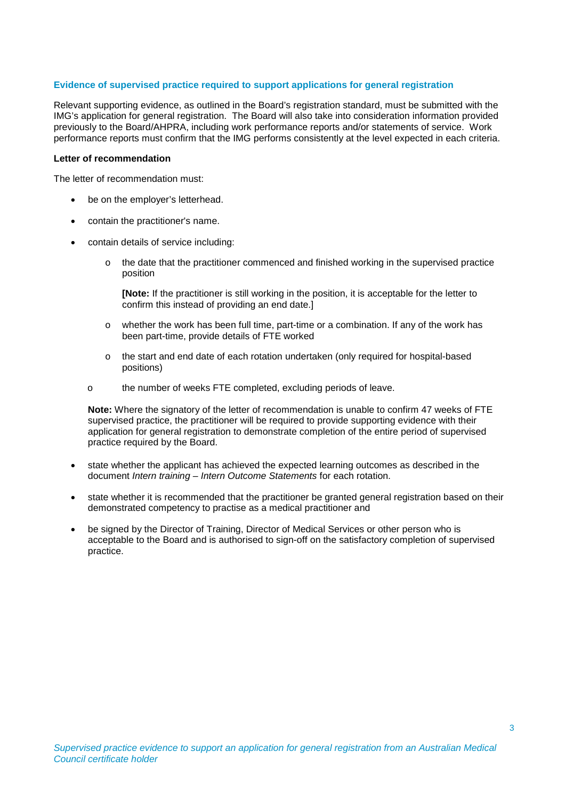#### **Evidence of supervised practice required to support applications for general registration**

Relevant supporting evidence, as outlined in the Board's registration standard, must be submitted with the IMG's application for general registration. The Board will also take into consideration information provided previously to the Board/AHPRA, including work performance reports and/or statements of service. Work performance reports must confirm that the IMG performs consistently at the level expected in each criteria.

#### **Letter of recommendation**

The letter of recommendation must:

- be on the employer's letterhead.
- contain the practitioner's name.
- contain details of service including:
	- o the date that the practitioner commenced and finished working in the supervised practice position

**[Note:** If the practitioner is still working in the position, it is acceptable for the letter to confirm this instead of providing an end date.]

- o whether the work has been full time, part-time or a combination. If any of the work has been part-time, provide details of FTE worked
- o the start and end date of each rotation undertaken (only required for hospital-based positions)
- o the number of weeks FTE completed, excluding periods of leave.

**Note:** Where the signatory of the letter of recommendation is unable to confirm 47 weeks of FTE supervised practice, the practitioner will be required to provide supporting evidence with their application for general registration to demonstrate completion of the entire period of supervised practice required by the Board.

- state whether the applicant has achieved the expected learning outcomes as described in the document *Intern training – Intern Outcome Statements* for each rotation.
- state whether it is recommended that the practitioner be granted general registration based on their demonstrated competency to practise as a medical practitioner and
- be signed by the Director of Training, Director of Medical Services or other person who is acceptable to the Board and is authorised to sign-off on the satisfactory completion of supervised practice.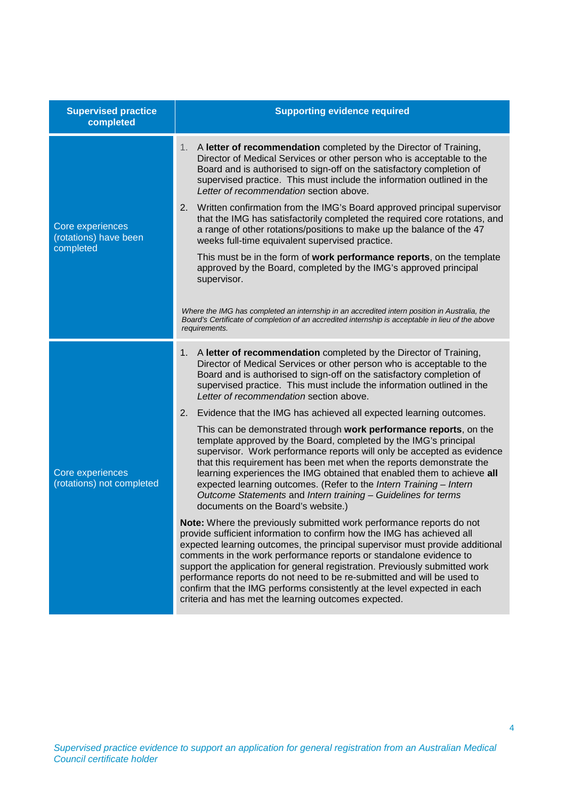| <b>Supervised practice</b><br>completed                | <b>Supporting evidence required</b>                                                                                                                                                                                                                                                                                                                                                                                                                                                                                                                                                               |
|--------------------------------------------------------|---------------------------------------------------------------------------------------------------------------------------------------------------------------------------------------------------------------------------------------------------------------------------------------------------------------------------------------------------------------------------------------------------------------------------------------------------------------------------------------------------------------------------------------------------------------------------------------------------|
| Core experiences<br>(rotations) have been<br>completed | A letter of recommendation completed by the Director of Training,<br>1.<br>Director of Medical Services or other person who is acceptable to the<br>Board and is authorised to sign-off on the satisfactory completion of<br>supervised practice. This must include the information outlined in the<br>Letter of recommendation section above.<br>2.<br>Written confirmation from the IMG's Board approved principal supervisor                                                                                                                                                                   |
|                                                        | that the IMG has satisfactorily completed the required core rotations, and<br>a range of other rotations/positions to make up the balance of the 47<br>weeks full-time equivalent supervised practice.                                                                                                                                                                                                                                                                                                                                                                                            |
|                                                        | This must be in the form of work performance reports, on the template<br>approved by the Board, completed by the IMG's approved principal<br>supervisor.                                                                                                                                                                                                                                                                                                                                                                                                                                          |
|                                                        | Where the IMG has completed an internship in an accredited intern position in Australia, the<br>Board's Certificate of completion of an accredited internship is acceptable in lieu of the above<br>requirements.                                                                                                                                                                                                                                                                                                                                                                                 |
| Core experiences<br>(rotations) not completed          | A letter of recommendation completed by the Director of Training,<br>1.<br>Director of Medical Services or other person who is acceptable to the<br>Board and is authorised to sign-off on the satisfactory completion of<br>supervised practice. This must include the information outlined in the<br>Letter of recommendation section above.                                                                                                                                                                                                                                                    |
|                                                        | 2.<br>Evidence that the IMG has achieved all expected learning outcomes.                                                                                                                                                                                                                                                                                                                                                                                                                                                                                                                          |
|                                                        | This can be demonstrated through work performance reports, on the<br>template approved by the Board, completed by the IMG's principal<br>supervisor. Work performance reports will only be accepted as evidence<br>that this requirement has been met when the reports demonstrate the<br>learning experiences the IMG obtained that enabled them to achieve all<br>expected learning outcomes. (Refer to the Intern Training - Intern<br>Outcome Statements and Intern training - Guidelines for terms<br>documents on the Board's website.)                                                     |
|                                                        | Note: Where the previously submitted work performance reports do not<br>provide sufficient information to confirm how the IMG has achieved all<br>expected learning outcomes, the principal supervisor must provide additional<br>comments in the work performance reports or standalone evidence to<br>support the application for general registration. Previously submitted work<br>performance reports do not need to be re-submitted and will be used to<br>confirm that the IMG performs consistently at the level expected in each<br>criteria and has met the learning outcomes expected. |